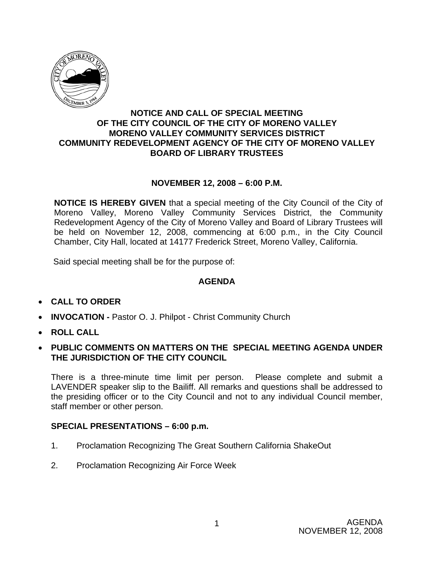

## **NOTICE AND CALL OF SPECIAL MEETING OF THE CITY COUNCIL OF THE CITY OF MORENO VALLEY MORENO VALLEY COMMUNITY SERVICES DISTRICT COMMUNITY REDEVELOPMENT AGENCY OF THE CITY OF MORENO VALLEY BOARD OF LIBRARY TRUSTEES**

## **NOVEMBER 12, 2008 – 6:00 P.M.**

**NOTICE IS HEREBY GIVEN** that a special meeting of the City Council of the City of Moreno Valley, Moreno Valley Community Services District, the Community Redevelopment Agency of the City of Moreno Valley and Board of Library Trustees will be held on November 12, 2008, commencing at 6:00 p.m., in the City Council Chamber, City Hall, located at 14177 Frederick Street, Moreno Valley, California.

Said special meeting shall be for the purpose of:

#### **AGENDA**

- **CALL TO ORDER**
- **INVOCATION** Pastor O. J. Philpot Christ Community Church
- **ROLL CALL**
- **PUBLIC COMMENTS ON MATTERS ON THE SPECIAL MEETING AGENDA UNDER THE JURISDICTION OF THE CITY COUNCIL**

There is a three-minute time limit per person. Please complete and submit a LAVENDER speaker slip to the Bailiff. All remarks and questions shall be addressed to the presiding officer or to the City Council and not to any individual Council member, staff member or other person.

#### **SPECIAL PRESENTATIONS – 6:00 p.m.**

- 1. Proclamation Recognizing The Great Southern California ShakeOut
- 2. Proclamation Recognizing Air Force Week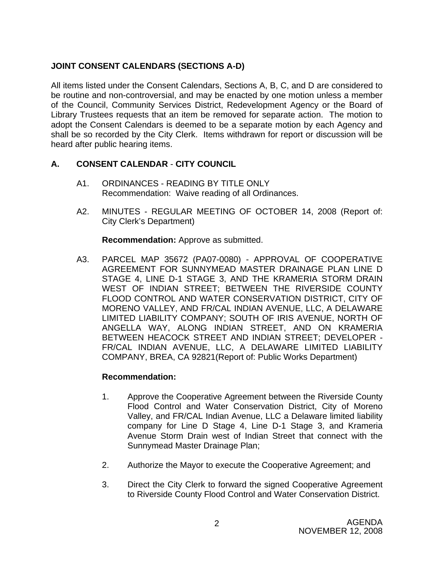# **JOINT CONSENT CALENDARS (SECTIONS A-D)**

All items listed under the Consent Calendars, Sections A, B, C, and D are considered to be routine and non-controversial, and may be enacted by one motion unless a member of the Council, Community Services District, Redevelopment Agency or the Board of Library Trustees requests that an item be removed for separate action. The motion to adopt the Consent Calendars is deemed to be a separate motion by each Agency and shall be so recorded by the City Clerk. Items withdrawn for report or discussion will be heard after public hearing items.

# **A. CONSENT CALENDAR** - **CITY COUNCIL**

- A1. ORDINANCES READING BY TITLE ONLY Recommendation: Waive reading of all Ordinances.
- A2. MINUTES REGULAR MEETING OF OCTOBER 14, 2008 (Report of: City Clerk's Department)

**Recommendation:** Approve as submitted.

A3. PARCEL MAP 35672 (PA07-0080) - APPROVAL OF COOPERATIVE AGREEMENT FOR SUNNYMEAD MASTER DRAINAGE PLAN LINE D STAGE 4, LINE D-1 STAGE 3, AND THE KRAMERIA STORM DRAIN WEST OF INDIAN STREET; BETWEEN THE RIVERSIDE COUNTY FLOOD CONTROL AND WATER CONSERVATION DISTRICT, CITY OF MORENO VALLEY, AND FR/CAL INDIAN AVENUE, LLC, A DELAWARE LIMITED LIABILITY COMPANY; SOUTH OF IRIS AVENUE, NORTH OF ANGELLA WAY, ALONG INDIAN STREET, AND ON KRAMERIA BETWEEN HEACOCK STREET AND INDIAN STREET; DEVELOPER - FR/CAL INDIAN AVENUE, LLC, A DELAWARE LIMITED LIABILITY COMPANY, BREA, CA 92821(Report of: Public Works Department)

- 1. Approve the Cooperative Agreement between the Riverside County Flood Control and Water Conservation District, City of Moreno Valley, and FR/CAL Indian Avenue, LLC a Delaware limited liability company for Line D Stage 4, Line D-1 Stage 3, and Krameria Avenue Storm Drain west of Indian Street that connect with the Sunnymead Master Drainage Plan;
- 2. Authorize the Mayor to execute the Cooperative Agreement; and
- 3. Direct the City Clerk to forward the signed Cooperative Agreement to Riverside County Flood Control and Water Conservation District.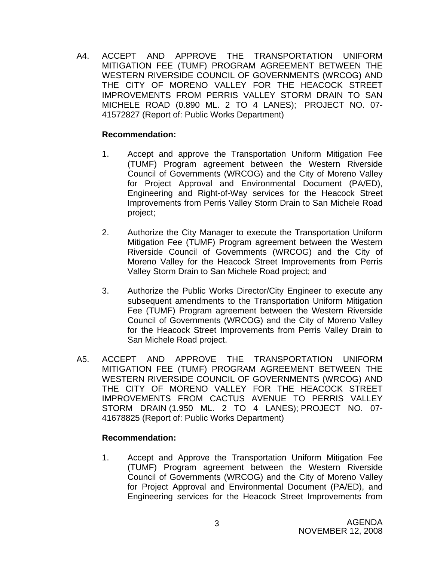A4. ACCEPT AND APPROVE THE TRANSPORTATION UNIFORM MITIGATION FEE (TUMF) PROGRAM AGREEMENT BETWEEN THE WESTERN RIVERSIDE COUNCIL OF GOVERNMENTS (WRCOG) AND THE CITY OF MORENO VALLEY FOR THE HEACOCK STREET IMPROVEMENTS FROM PERRIS VALLEY STORM DRAIN TO SAN MICHELE ROAD (0.890 ML. 2 TO 4 LANES); PROJECT NO. 07- 41572827 (Report of: Public Works Department)

## **Recommendation:**

- 1. Accept and approve the Transportation Uniform Mitigation Fee (TUMF) Program agreement between the Western Riverside Council of Governments (WRCOG) and the City of Moreno Valley for Project Approval and Environmental Document (PA/ED), Engineering and Right-of-Way services for the Heacock Street Improvements from Perris Valley Storm Drain to San Michele Road project;
- 2. Authorize the City Manager to execute the Transportation Uniform Mitigation Fee (TUMF) Program agreement between the Western Riverside Council of Governments (WRCOG) and the City of Moreno Valley for the Heacock Street Improvements from Perris Valley Storm Drain to San Michele Road project; and
- 3. Authorize the Public Works Director/City Engineer to execute any subsequent amendments to the Transportation Uniform Mitigation Fee (TUMF) Program agreement between the Western Riverside Council of Governments (WRCOG) and the City of Moreno Valley for the Heacock Street Improvements from Perris Valley Drain to San Michele Road project.
- A5. ACCEPT AND APPROVE THE TRANSPORTATION UNIFORM MITIGATION FEE (TUMF) PROGRAM AGREEMENT BETWEEN THE WESTERN RIVERSIDE COUNCIL OF GOVERNMENTS (WRCOG) AND THE CITY OF MORENO VALLEY FOR THE HEACOCK STREET IMPROVEMENTS FROM CACTUS AVENUE TO PERRIS VALLEY STORM DRAIN (1.950 ML. 2 TO 4 LANES); PROJECT NO. 07- 41678825 (Report of: Public Works Department)

## **Recommendation:**

1. Accept and Approve the Transportation Uniform Mitigation Fee (TUMF) Program agreement between the Western Riverside Council of Governments (WRCOG) and the City of Moreno Valley for Project Approval and Environmental Document (PA/ED), and Engineering services for the Heacock Street Improvements from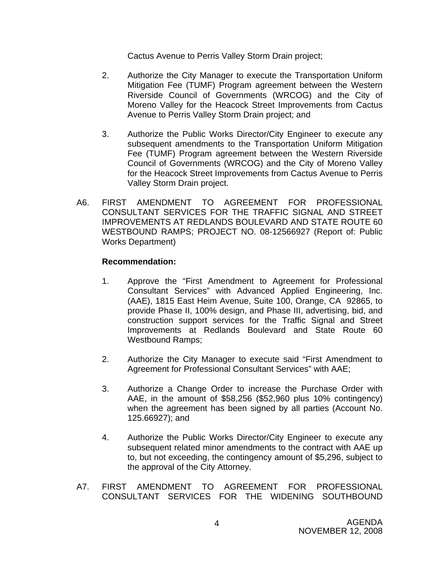Cactus Avenue to Perris Valley Storm Drain project;

- 2. Authorize the City Manager to execute the Transportation Uniform Mitigation Fee (TUMF) Program agreement between the Western Riverside Council of Governments (WRCOG) and the City of Moreno Valley for the Heacock Street Improvements from Cactus Avenue to Perris Valley Storm Drain project; and
- 3. Authorize the Public Works Director/City Engineer to execute any subsequent amendments to the Transportation Uniform Mitigation Fee (TUMF) Program agreement between the Western Riverside Council of Governments (WRCOG) and the City of Moreno Valley for the Heacock Street Improvements from Cactus Avenue to Perris Valley Storm Drain project.
- A6. FIRST AMENDMENT TO AGREEMENT FOR PROFESSIONAL CONSULTANT SERVICES FOR THE TRAFFIC SIGNAL AND STREET IMPROVEMENTS AT REDLANDS BOULEVARD AND STATE ROUTE 60 WESTBOUND RAMPS; PROJECT NO. 08-12566927 (Report of: Public Works Department)

- 1. Approve the "First Amendment to Agreement for Professional Consultant Services" with Advanced Applied Engineering, Inc. (AAE), 1815 East Heim Avenue, Suite 100, Orange, CA 92865, to provide Phase II, 100% design, and Phase III, advertising, bid, and construction support services for the Traffic Signal and Street Improvements at Redlands Boulevard and State Route 60 Westbound Ramps;
- 2. Authorize the City Manager to execute said "First Amendment to Agreement for Professional Consultant Services" with AAE;
- 3. Authorize a Change Order to increase the Purchase Order with AAE, in the amount of \$58,256 (\$52,960 plus 10% contingency) when the agreement has been signed by all parties (Account No. 125.66927); and
- 4. Authorize the Public Works Director/City Engineer to execute any subsequent related minor amendments to the contract with AAE up to, but not exceeding, the contingency amount of \$5,296, subject to the approval of the City Attorney.
- A7. FIRST AMENDMENT TO AGREEMENT FOR PROFESSIONAL CONSULTANT SERVICES FOR THE WIDENING SOUTHBOUND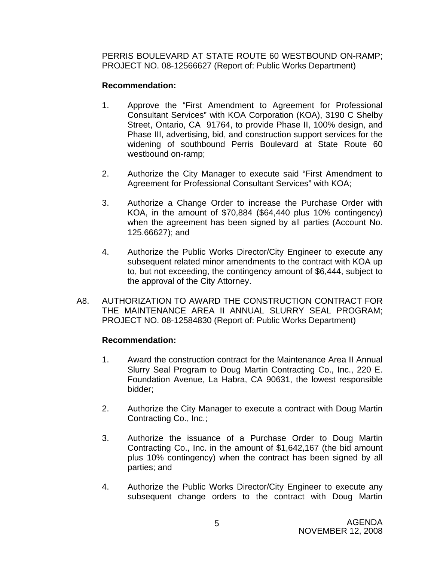PERRIS BOULEVARD AT STATE ROUTE 60 WESTBOUND ON-RAMP; PROJECT NO. 08-12566627 (Report of: Public Works Department)

#### **Recommendation:**

- 1. Approve the "First Amendment to Agreement for Professional Consultant Services" with KOA Corporation (KOA), 3190 C Shelby Street, Ontario, CA 91764, to provide Phase II, 100% design, and Phase III, advertising, bid, and construction support services for the widening of southbound Perris Boulevard at State Route 60 westbound on-ramp;
- 2. Authorize the City Manager to execute said "First Amendment to Agreement for Professional Consultant Services" with KOA;
- 3. Authorize a Change Order to increase the Purchase Order with KOA, in the amount of \$70,884 (\$64,440 plus 10% contingency) when the agreement has been signed by all parties (Account No. 125.66627); and
- 4. Authorize the Public Works Director/City Engineer to execute any subsequent related minor amendments to the contract with KOA up to, but not exceeding, the contingency amount of \$6,444, subject to the approval of the City Attorney.
- A8. AUTHORIZATION TO AWARD THE CONSTRUCTION CONTRACT FOR THE MAINTENANCE AREA II ANNUAL SLURRY SEAL PROGRAM; PROJECT NO. 08-12584830 (Report of: Public Works Department)

- 1. Award the construction contract for the Maintenance Area II Annual Slurry Seal Program to Doug Martin Contracting Co., Inc., 220 E. Foundation Avenue, La Habra, CA 90631, the lowest responsible bidder;
- 2. Authorize the City Manager to execute a contract with Doug Martin Contracting Co., Inc.;
- 3. Authorize the issuance of a Purchase Order to Doug Martin Contracting Co., Inc. in the amount of \$1,642,167 (the bid amount plus 10% contingency) when the contract has been signed by all parties; and
- 4. Authorize the Public Works Director/City Engineer to execute any subsequent change orders to the contract with Doug Martin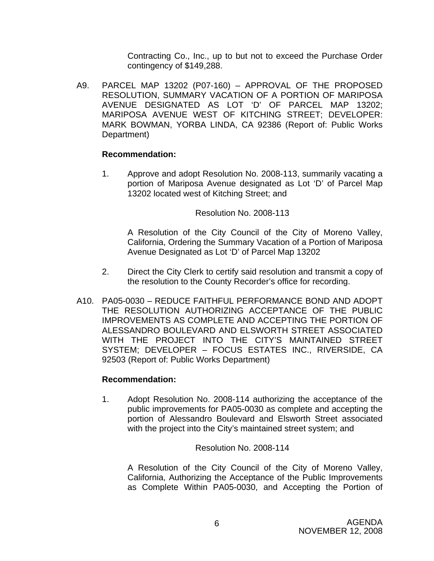Contracting Co., Inc., up to but not to exceed the Purchase Order contingency of \$149,288.

A9. PARCEL MAP 13202 (P07-160) – APPROVAL OF THE PROPOSED RESOLUTION, SUMMARY VACATION OF A PORTION OF MARIPOSA AVENUE DESIGNATED AS LOT 'D' OF PARCEL MAP 13202; MARIPOSA AVENUE WEST OF KITCHING STREET; DEVELOPER: MARK BOWMAN, YORBA LINDA, CA 92386 (Report of: Public Works Department)

## **Recommendation:**

1. Approve and adopt Resolution No. 2008-113, summarily vacating a portion of Mariposa Avenue designated as Lot 'D' of Parcel Map 13202 located west of Kitching Street; and

## Resolution No. 2008-113

 A Resolution of the City Council of the City of Moreno Valley, California, Ordering the Summary Vacation of a Portion of Mariposa Avenue Designated as Lot 'D' of Parcel Map 13202

- 2. Direct the City Clerk to certify said resolution and transmit a copy of the resolution to the County Recorder's office for recording.
- A10. PA05-0030 REDUCE FAITHFUL PERFORMANCE BOND AND ADOPT THE RESOLUTION AUTHORIZING ACCEPTANCE OF THE PUBLIC IMPROVEMENTS AS COMPLETE AND ACCEPTING THE PORTION OF ALESSANDRO BOULEVARD AND ELSWORTH STREET ASSOCIATED WITH THE PROJECT INTO THE CITY'S MAINTAINED STREET SYSTEM; DEVELOPER – FOCUS ESTATES INC., RIVERSIDE, CA 92503 (Report of: Public Works Department)

## **Recommendation:**

1. Adopt Resolution No. 2008-114 authorizing the acceptance of the public improvements for PA05-0030 as complete and accepting the portion of Alessandro Boulevard and Elsworth Street associated with the project into the City's maintained street system; and

## Resolution No. 2008-114

 A Resolution of the City Council of the City of Moreno Valley, California, Authorizing the Acceptance of the Public Improvements as Complete Within PA05-0030, and Accepting the Portion of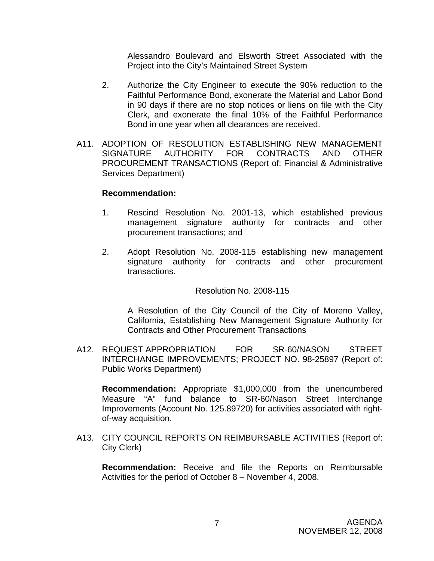Alessandro Boulevard and Elsworth Street Associated with the Project into the City's Maintained Street System

- 2. Authorize the City Engineer to execute the 90% reduction to the Faithful Performance Bond, exonerate the Material and Labor Bond in 90 days if there are no stop notices or liens on file with the City Clerk, and exonerate the final 10% of the Faithful Performance Bond in one year when all clearances are received.
- A11. ADOPTION OF RESOLUTION ESTABLISHING NEW MANAGEMENT SIGNATURE AUTHORITY FOR CONTRACTS AND OTHER PROCUREMENT TRANSACTIONS (Report of: Financial & Administrative Services Department)

#### **Recommendation:**

- 1. Rescind Resolution No. 2001-13, which established previous management signature authority for contracts and other procurement transactions; and
- 2. Adopt Resolution No. 2008-115 establishing new management signature authority for contracts and other procurement transactions.

#### Resolution No. 2008-115

A Resolution of the City Council of the City of Moreno Valley, California, Establishing New Management Signature Authority for Contracts and Other Procurement Transactions

A12. REQUEST APPROPRIATION FOR SR-60/NASON STREET INTERCHANGE IMPROVEMENTS; PROJECT NO. 98-25897 (Report of: Public Works Department)

**Recommendation:** Appropriate \$1,000,000 from the unencumbered Measure "A" fund balance to SR-60/Nason Street Interchange Improvements (Account No. 125.89720) for activities associated with rightof-way acquisition.

 A13. CITY COUNCIL REPORTS ON REIMBURSABLE ACTIVITIES (Report of: City Clerk)

 **Recommendation:** Receive and file the Reports on Reimbursable Activities for the period of October 8 – November 4, 2008.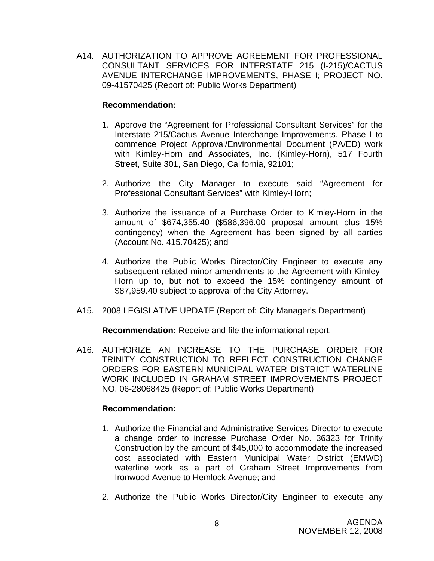A14. AUTHORIZATION TO APPROVE AGREEMENT FOR PROFESSIONAL CONSULTANT SERVICES FOR INTERSTATE 215 (I-215)/CACTUS AVENUE INTERCHANGE IMPROVEMENTS, PHASE I; PROJECT NO. 09-41570425 (Report of: Public Works Department)

## **Recommendation:**

- 1. Approve the "Agreement for Professional Consultant Services" for the Interstate 215/Cactus Avenue Interchange Improvements, Phase I to commence Project Approval/Environmental Document (PA/ED) work with Kimley-Horn and Associates, Inc. (Kimley-Horn), 517 Fourth Street, Suite 301, San Diego, California, 92101;
- 2. Authorize the City Manager to execute said "Agreement for Professional Consultant Services" with Kimley-Horn;
- 3. Authorize the issuance of a Purchase Order to Kimley-Horn in the amount of \$674,355.40 (\$586,396.00 proposal amount plus 15% contingency) when the Agreement has been signed by all parties (Account No. 415.70425); and
- 4. Authorize the Public Works Director/City Engineer to execute any subsequent related minor amendments to the Agreement with Kimley-Horn up to, but not to exceed the 15% contingency amount of \$87,959.40 subject to approval of the City Attorney.
- A15. 2008 LEGISLATIVE UPDATE (Report of: City Manager's Department)

**Recommendation:** Receive and file the informational report.

A16. AUTHORIZE AN INCREASE TO THE PURCHASE ORDER FOR TRINITY CONSTRUCTION TO REFLECT CONSTRUCTION CHANGE ORDERS FOR EASTERN MUNICIPAL WATER DISTRICT WATERLINE WORK INCLUDED IN GRAHAM STREET IMPROVEMENTS PROJECT NO. 06-28068425 (Report of: Public Works Department)

- 1. Authorize the Financial and Administrative Services Director to execute a change order to increase Purchase Order No. 36323 for Trinity Construction by the amount of \$45,000 to accommodate the increased cost associated with Eastern Municipal Water District (EMWD) waterline work as a part of Graham Street Improvements from Ironwood Avenue to Hemlock Avenue; and
- 2. Authorize the Public Works Director/City Engineer to execute any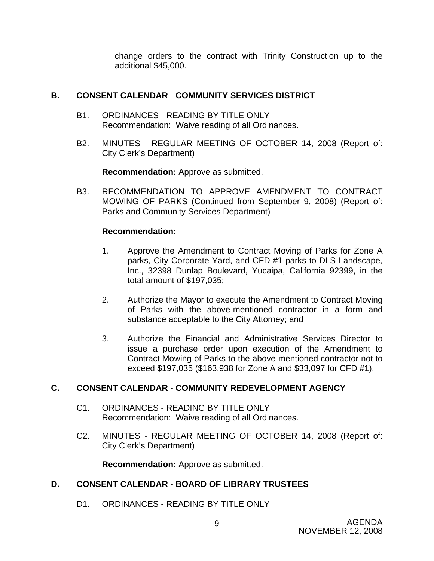change orders to the contract with Trinity Construction up to the additional \$45,000.

## **B. CONSENT CALENDAR** - **COMMUNITY SERVICES DISTRICT**

- B1. ORDINANCES READING BY TITLE ONLY Recommendation: Waive reading of all Ordinances.
- B2. MINUTES REGULAR MEETING OF OCTOBER 14, 2008 (Report of: City Clerk's Department)

**Recommendation:** Approve as submitted.

B3. RECOMMENDATION TO APPROVE AMENDMENT TO CONTRACT MOWING OF PARKS (Continued from September 9, 2008) (Report of: Parks and Community Services Department)

## **Recommendation:**

- 1. Approve the Amendment to Contract Moving of Parks for Zone A parks, City Corporate Yard, and CFD #1 parks to DLS Landscape, Inc., 32398 Dunlap Boulevard, Yucaipa, California 92399, in the total amount of \$197,035;
- 2. Authorize the Mayor to execute the Amendment to Contract Moving of Parks with the above-mentioned contractor in a form and substance acceptable to the City Attorney; and
- 3. Authorize the Financial and Administrative Services Director to issue a purchase order upon execution of the Amendment to Contract Mowing of Parks to the above-mentioned contractor not to exceed \$197,035 (\$163,938 for Zone A and \$33,097 for CFD #1).

## **C. CONSENT CALENDAR** - **COMMUNITY REDEVELOPMENT AGENCY**

- C1. ORDINANCES READING BY TITLE ONLY Recommendation: Waive reading of all Ordinances.
- C2. MINUTES REGULAR MEETING OF OCTOBER 14, 2008 (Report of: City Clerk's Department)

**Recommendation:** Approve as submitted.

## **D. CONSENT CALENDAR** - **BOARD OF LIBRARY TRUSTEES**

D1. ORDINANCES - READING BY TITLE ONLY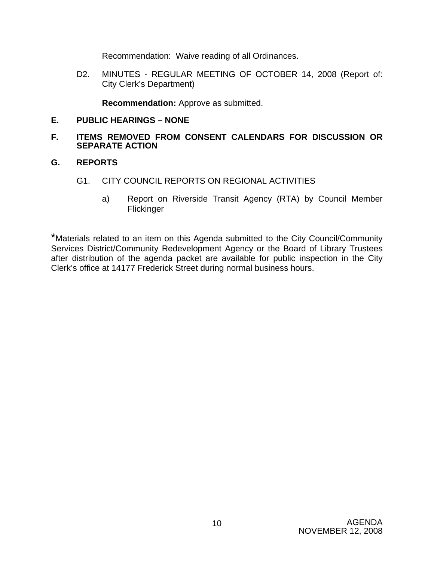Recommendation: Waive reading of all Ordinances.

D2. MINUTES - REGULAR MEETING OF OCTOBER 14, 2008 (Report of: City Clerk's Department)

**Recommendation:** Approve as submitted.

## **E. PUBLIC HEARINGS – NONE**

## **F. ITEMS REMOVED FROM CONSENT CALENDARS FOR DISCUSSION OR SEPARATE ACTION**

## **G. REPORTS**

- G1. CITY COUNCIL REPORTS ON REGIONAL ACTIVITIES
	- a) Report on Riverside Transit Agency (RTA) by Council Member Flickinger

\*Materials related to an item on this Agenda submitted to the City Council/Community Services District/Community Redevelopment Agency or the Board of Library Trustees after distribution of the agenda packet are available for public inspection in the City Clerk's office at 14177 Frederick Street during normal business hours.